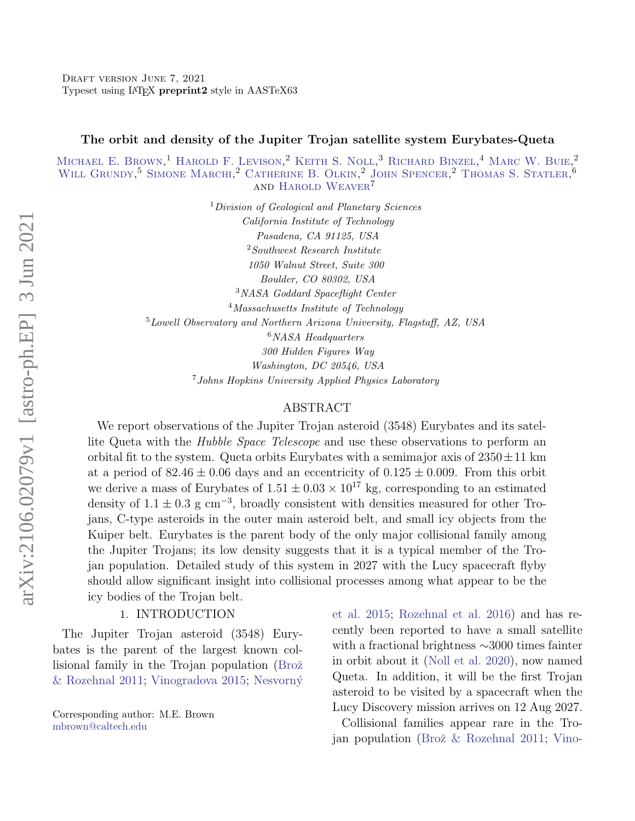#### The orbit and density of the Jupiter Trojan satellite system Eurybates-Queta

MICHAEL E. BROWN,<sup>1</sup> HAROLD F. LEVISON,<sup>2</sup> KEITH S. NOLL,<sup>3</sup> RICHARD BINZEL,<sup>4</sup> MARC W. BUIE,<sup>2</sup> WILL GRUNDY<sup>5</sup> SIMONE MARCHI<sup>2</sup> CATHERINE B. OLKIN<sup>2</sup> JOHN SPENCER<sup>2</sup> THOMAS S. STATLER<sup>6</sup> and [Harold Weaver](http://orcid.org/0000-0003-0951-7762)<sup>7</sup>

> <sup>1</sup>Division of Geological and Planetary Sciences California Institute of Technology Pasadena, CA 91125, USA <sup>2</sup>Southwest Research Institute 1050 Walnut Street, Suite 300 Boulder, CO 80302, USA <sup>3</sup>NASA Goddard Spaceflight Center <sup>4</sup>Massachusetts Institute of Technology <sup>5</sup>Lowell Observatory and Northern Arizona University, Flagstaff, AZ, USA  $6NASA$  Headquarters 300 Hidden Figures Way Washington, DC 20546, USA <sup>7</sup>Johns Hopkins University Applied Physics Laboratory

#### ABSTRACT

We report observations of the Jupiter Trojan asteroid (3548) Eurybates and its satellite Queta with the *Hubble Space Telescope* and use these observations to perform an orbital fit to the system. Queta orbits Eurybates with a semimajor axis of  $2350 \pm 11$  km at a period of  $82.46 \pm 0.06$  days and an eccentricity of  $0.125 \pm 0.009$ . From this orbit we derive a mass of Eurybates of  $1.51 \pm 0.03 \times 10^{17}$  kg, corresponding to an estimated density of  $1.1 \pm 0.3$  g cm<sup>-3</sup>, broadly consistent with densities measured for other Trojans, C-type asteroids in the outer main asteroid belt, and small icy objects from the Kuiper belt. Eurybates is the parent body of the only major collisional family among the Jupiter Trojans; its low density suggests that it is a typical member of the Trojan population. Detailed study of this system in 2027 with the Lucy spacecraft flyby should allow significant insight into collisional processes among what appear to be the icy bodies of the Trojan belt.

## 1. INTRODUCTION

The Jupiter Trojan asteroid (3548) Eurybates is the parent of the largest known collisional family in the Trojan population (Brož [& Rozehnal](#page-9-0) [2011;](#page-9-0) [Vinogradova](#page-10-0) [2015;](#page-10-0) [Nesvorn´y](#page-10-1)

[Corresponding author: M.E. Brown](#page-10-1) [mbrown@caltech.edu](mailto: mbrown@caltech.edu)

[et al.](#page-10-1) [2015;](#page-10-1) [Rozehnal et al.](#page-10-2) [2016\)](#page-10-2) and has recently been reported to have a small satellite with a fractional brightness ∼3000 times fainter in orbit about it [\(Noll et al.](#page-10-3) [2020\)](#page-10-3), now named Queta. In addition, it will be the first Trojan asteroid to be visited by a spacecraft when the Lucy Discovery mission arrives on 12 Aug 2027.

[Collisional families appear rare in the Tro-](#page-10-1)jan population (Brož & Rozehnal [2011;](#page-9-0) [Vino-](#page-10-0)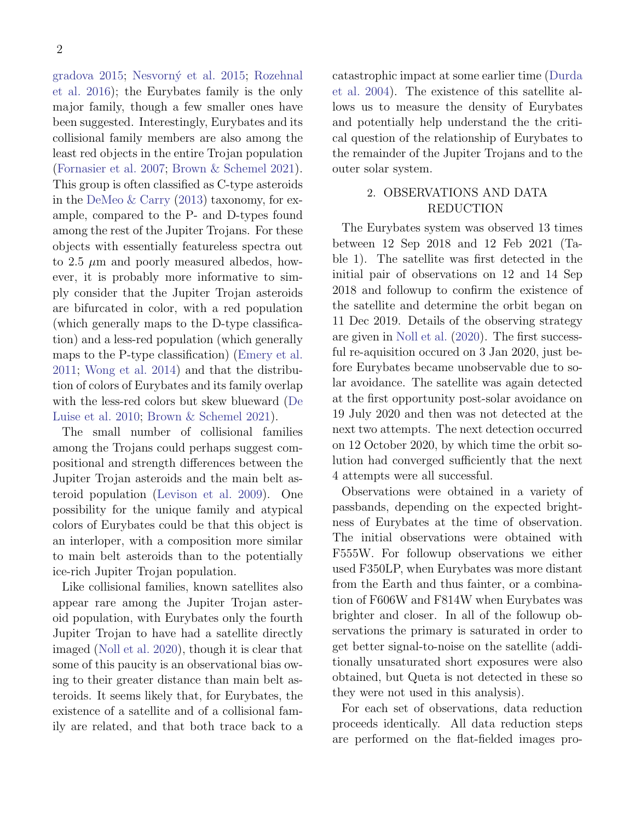[gradova](#page-10-0) [2015;](#page-10-0) [Nesvorn´y et al.](#page-10-1) [2015;](#page-10-1) [Rozehnal](#page-10-2) [et al.](#page-10-2) [2016\)](#page-10-2); the Eurybates family is the only major family, though a few smaller ones have been suggested. Interestingly, Eurybates and its collisional family members are also among the least red objects in the entire Trojan population [\(Fornasier et al.](#page-9-1) [2007;](#page-9-1) [Brown & Schemel](#page-9-2) [2021\)](#page-9-2). This group is often classified as C-type asteroids in the [DeMeo & Carry](#page-9-3) [\(2013\)](#page-9-3) taxonomy, for example, compared to the P- and D-types found among the rest of the Jupiter Trojans. For these objects with essentially featureless spectra out to 2.5  $\mu$ m and poorly measured albedos, however, it is probably more informative to simply consider that the Jupiter Trojan asteroids are bifurcated in color, with a red population (which generally maps to the D-type classification) and a less-red population (which generally maps to the P-type classification) [\(Emery et al.](#page-9-4) [2011;](#page-9-4) [Wong et al.](#page-10-4) [2014\)](#page-10-4) and that the distribution of colors of Eurybates and its family overlap with the less-red colors but skew blueward [\(De](#page-9-5) [Luise et al.](#page-9-5) [2010;](#page-9-5) [Brown & Schemel](#page-9-2) [2021\)](#page-9-2).

The small number of collisional families among the Trojans could perhaps suggest compositional and strength differences between the Jupiter Trojan asteroids and the main belt asteroid population [\(Levison et al.](#page-9-6) [2009\)](#page-9-6). One possibility for the unique family and atypical colors of Eurybates could be that this object is an interloper, with a composition more similar to main belt asteroids than to the potentially ice-rich Jupiter Trojan population.

Like collisional families, known satellites also appear rare among the Jupiter Trojan asteroid population, with Eurybates only the fourth Jupiter Trojan to have had a satellite directly imaged [\(Noll et al.](#page-10-3) [2020\)](#page-10-3), though it is clear that some of this paucity is an observational bias owing to their greater distance than main belt asteroids. It seems likely that, for Eurybates, the existence of a satellite and of a collisional family are related, and that both trace back to a catastrophic impact at some earlier time [\(Durda](#page-9-7) [et al.](#page-9-7) [2004\)](#page-9-7). The existence of this satellite allows us to measure the density of Eurybates and potentially help understand the the critical question of the relationship of Eurybates to the remainder of the Jupiter Trojans and to the outer solar system.

# 2. OBSERVATIONS AND DATA REDUCTION

The Eurybates system was observed 13 times between 12 Sep 2018 and 12 Feb 2021 (Table 1). The satellite was first detected in the initial pair of observations on 12 and 14 Sep 2018 and followup to confirm the existence of the satellite and determine the orbit began on 11 Dec 2019. Details of the observing strategy are given in [Noll et al.](#page-10-3) [\(2020\)](#page-10-3). The first successful re-aquisition occured on 3 Jan 2020, just before Eurybates became unobservable due to solar avoidance. The satellite was again detected at the first opportunity post-solar avoidance on 19 July 2020 and then was not detected at the next two attempts. The next detection occurred on 12 October 2020, by which time the orbit solution had converged sufficiently that the next 4 attempts were all successful.

Observations were obtained in a variety of passbands, depending on the expected brightness of Eurybates at the time of observation. The initial observations were obtained with F555W. For followup observations we either used F350LP, when Eurybates was more distant from the Earth and thus fainter, or a combination of F606W and F814W when Eurybates was brighter and closer. In all of the followup observations the primary is saturated in order to get better signal-to-noise on the satellite (additionally unsaturated short exposures were also obtained, but Queta is not detected in these so they were not used in this analysis).

For each set of observations, data reduction proceeds identically. All data reduction steps are performed on the flat-fielded images pro-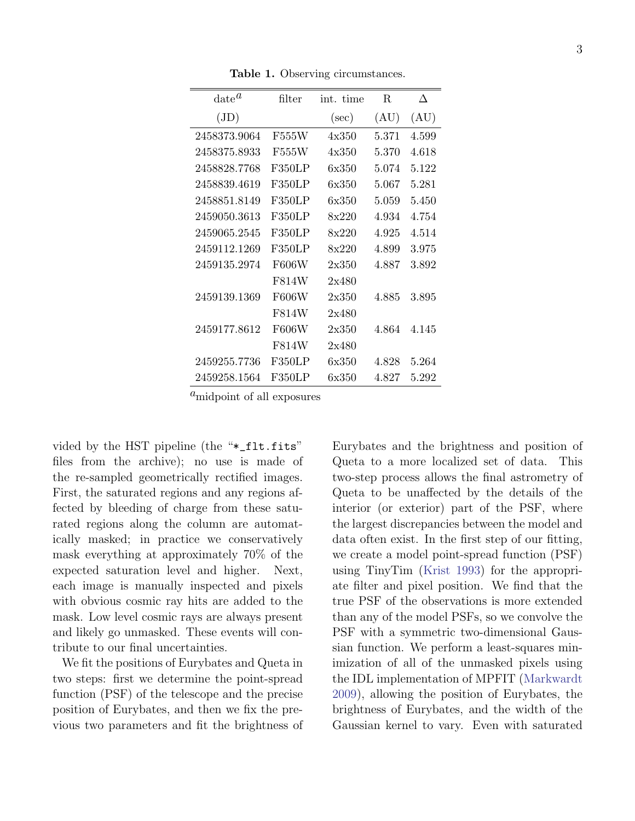Table 1. Observing circumstances.

| $\mathrm{date}^{\mathit{a}}$ | filter | int. time | R.    | Л         |
|------------------------------|--------|-----------|-------|-----------|
| (JD)                         |        | $(\sec)$  | (AU)  | (AU)      |
| 2458373.9064                 | F555W  | 4x350     | 5.371 | 4.599     |
| 2458375.8933                 | F555W  | 4x350     | 5.370 | 4.618     |
| 2458828.7768                 | F350LP | 6x350     | 5.074 | 5.122     |
| 2458839.4619                 | F350LP | 6x350     | 5.067 | 5.281     |
| 2458851.8149                 | F350LP | 6x350     | 5.059 | 5.450     |
| 2459050.3613                 | F350LP | 8x220     | 4.934 | 4.754     |
| 2459065.2545                 | F350LP | 8x220     | 4.925 | 4.514     |
| 2459112.1269                 | F350LP | 8x220     | 4.899 | 3.975     |
| 2459135.2974                 | F606W  | 2x350     | 4.887 | 3.892     |
|                              | F814W  | 2x480     |       |           |
| 2459139.1369                 | F606W  | 2x350     | 4.885 | 3.895     |
|                              | F814W  | 2x480     |       |           |
| 2459177.8612                 | F606W  | 2x350     | 4.864 | 4.145     |
|                              | F814W  | 2x480     |       |           |
| 2459255.7736                 | F350LP | 6x350     | 4.828 | 5.264     |
| 2459258.1564                 | F350LP | 6x350     | 4.827 | $5.292\,$ |

 $a<sub>m</sub>$  identified all exposures

vided by the HST pipeline (the "\*\_flt.fits" files from the archive); no use is made of the re-sampled geometrically rectified images. First, the saturated regions and any regions affected by bleeding of charge from these saturated regions along the column are automatically masked; in practice we conservatively mask everything at approximately 70% of the expected saturation level and higher. Next, each image is manually inspected and pixels with obvious cosmic ray hits are added to the mask. Low level cosmic rays are always present and likely go unmasked. These events will contribute to our final uncertainties.

We fit the positions of Eurybates and Queta in two steps: first we determine the point-spread function (PSF) of the telescope and the precise position of Eurybates, and then we fix the previous two parameters and fit the brightness of Eurybates and the brightness and position of Queta to a more localized set of data. This two-step process allows the final astrometry of Queta to be unaffected by the details of the interior (or exterior) part of the PSF, where the largest discrepancies between the model and data often exist. In the first step of our fitting, we create a model point-spread function (PSF) using TinyTim [\(Krist](#page-9-8) [1993\)](#page-9-8) for the appropriate filter and pixel position. We find that the true PSF of the observations is more extended than any of the model PSFs, so we convolve the PSF with a symmetric two-dimensional Gaussian function. We perform a least-squares minimization of all of the unmasked pixels using the IDL implementation of MPFIT [\(Markwardt](#page-10-5) [2009\)](#page-10-5), allowing the position of Eurybates, the brightness of Eurybates, and the width of the Gaussian kernel to vary. Even with saturated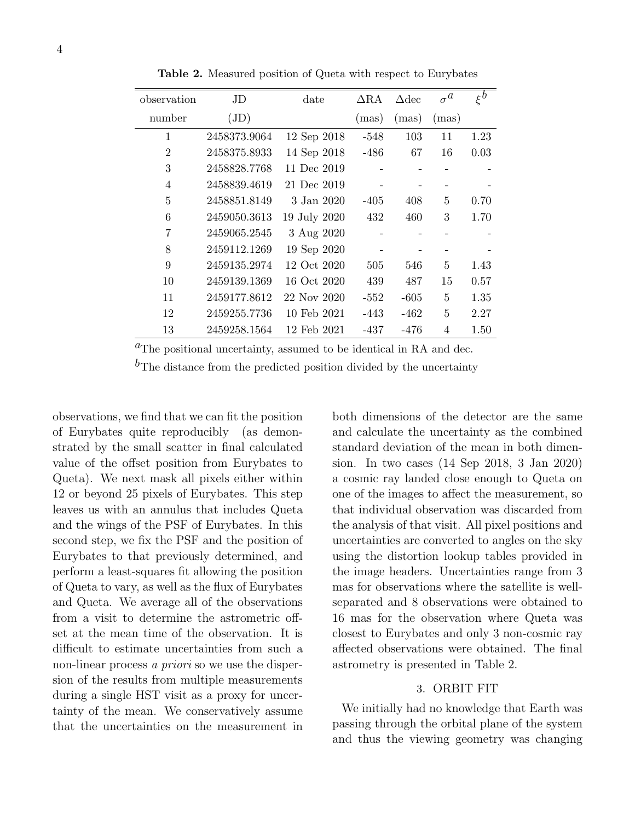| observation    | JD           | date         | $\Delta$ RA | $\Delta$ dec | $\sigma^a$ | $\xi^b$ |
|----------------|--------------|--------------|-------------|--------------|------------|---------|
| number         | $\rm (JD)$   |              | (mas)       | (mas)        | (mas)      |         |
| $\mathbf{1}$   | 2458373.9064 | 12 Sep 2018  | $-548$      | 103          | 11         | 1.23    |
| $\overline{2}$ | 2458375.8933 | 14 Sep 2018  | $-486$      | 67           | 16         | 0.03    |
| 3              | 2458828.7768 | 11 Dec 2019  |             |              |            |         |
| $\overline{4}$ | 2458839.4619 | 21 Dec 2019  |             |              |            |         |
| $\overline{5}$ | 2458851.8149 | 3 Jan 2020   | $-405$      | 408          | 5          | 0.70    |
| 6              | 2459050.3613 | 19 July 2020 | 432         | 460          | 3          | 1.70    |
| 7              | 2459065.2545 | 3 Aug 2020   |             |              |            |         |
| 8              | 2459112.1269 | 19 Sep 2020  |             |              |            |         |
| 9              | 2459135.2974 | 12 Oct 2020  | 505         | 546          | 5          | 1.43    |
| 10             | 2459139.1369 | 16 Oct 2020  | 439         | 487          | 15         | 0.57    |
| 11             | 2459177.8612 | 22 Nov 2020  | $-552$      | $-605$       | 5          | 1.35    |
| 12             | 2459255.7736 | 10 Feb 2021  | -443        | -462         | 5          | 2.27    |
| 13             | 2459258.1564 | 12 Feb 2021  | -437        | $-476$       | 4          | 1.50    |

Table 2. Measured position of Queta with respect to Eurybates

 ${}^{a}$ The positional uncertainty, assumed to be identical in RA and dec.

 $b_{\text{The distance from the predicted position divided by the uncertainty}}$ 

observations, we find that we can fit the position of Eurybates quite reproducibly (as demonstrated by the small scatter in final calculated value of the offset position from Eurybates to Queta). We next mask all pixels either within 12 or beyond 25 pixels of Eurybates. This step leaves us with an annulus that includes Queta and the wings of the PSF of Eurybates. In this second step, we fix the PSF and the position of Eurybates to that previously determined, and perform a least-squares fit allowing the position of Queta to vary, as well as the flux of Eurybates and Queta. We average all of the observations from a visit to determine the astrometric offset at the mean time of the observation. It is difficult to estimate uncertainties from such a non-linear process a priori so we use the dispersion of the results from multiple measurements during a single HST visit as a proxy for uncertainty of the mean. We conservatively assume that the uncertainties on the measurement in

both dimensions of the detector are the same and calculate the uncertainty as the combined standard deviation of the mean in both dimension. In two cases (14 Sep 2018, 3 Jan 2020) a cosmic ray landed close enough to Queta on one of the images to affect the measurement, so that individual observation was discarded from the analysis of that visit. All pixel positions and uncertainties are converted to angles on the sky using the distortion lookup tables provided in the image headers. Uncertainties range from 3 mas for observations where the satellite is wellseparated and 8 observations were obtained to 16 mas for the observation where Queta was closest to Eurybates and only 3 non-cosmic ray affected observations were obtained. The final astrometry is presented in Table 2.

## 3. ORBIT FIT

We initially had no knowledge that Earth was passing through the orbital plane of the system and thus the viewing geometry was changing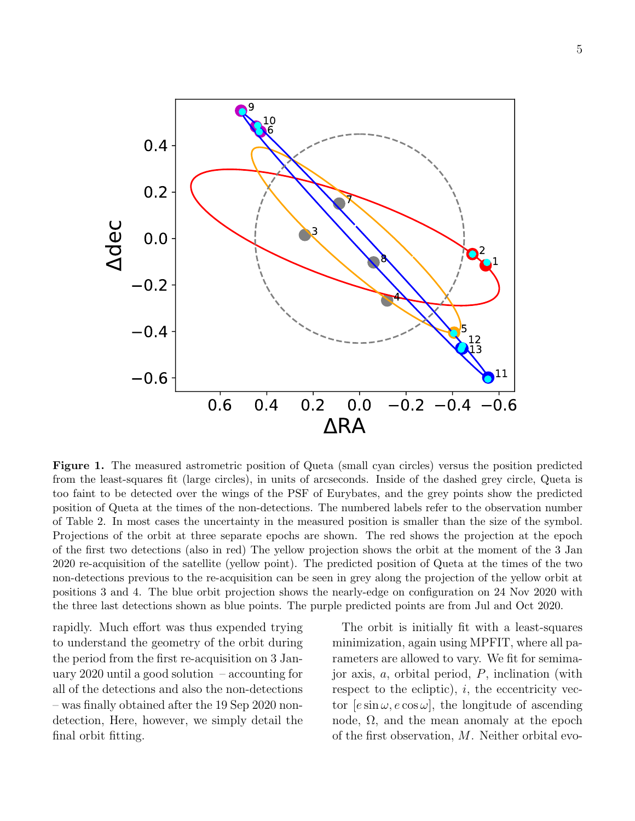

Figure 1. The measured astrometric position of Queta (small cyan circles) versus the position predicted from the least-squares fit (large circles), in units of arcseconds. Inside of the dashed grey circle, Queta is too faint to be detected over the wings of the PSF of Eurybates, and the grey points show the predicted position of Queta at the times of the non-detections. The numbered labels refer to the observation number of Table 2. In most cases the uncertainty in the measured position is smaller than the size of the symbol. Projections of the orbit at three separate epochs are shown. The red shows the projection at the epoch of the first two detections (also in red) The yellow projection shows the orbit at the moment of the 3 Jan 2020 re-acquisition of the satellite (yellow point). The predicted position of Queta at the times of the two non-detections previous to the re-acquisition can be seen in grey along the projection of the yellow orbit at positions 3 and 4. The blue orbit projection shows the nearly-edge on configuration on 24 Nov 2020 with the three last detections shown as blue points. The purple predicted points are from Jul and Oct 2020.

rapidly. Much effort was thus expended trying to understand the geometry of the orbit during the period from the first re-acquisition on 3 January 2020 until a good solution – accounting for all of the detections and also the non-detections – was finally obtained after the 19 Sep 2020 nondetection, Here, however, we simply detail the final orbit fitting.

The orbit is initially fit with a least-squares minimization, again using MPFIT, where all parameters are allowed to vary. We fit for semimajor axis,  $a$ , orbital period,  $P$ , inclination (with respect to the ecliptic),  $i$ , the eccentricity vector  $[e \sin \omega, e \cos \omega]$ , the longitude of ascending node,  $\Omega$ , and the mean anomaly at the epoch of the first observation, M. Neither orbital evo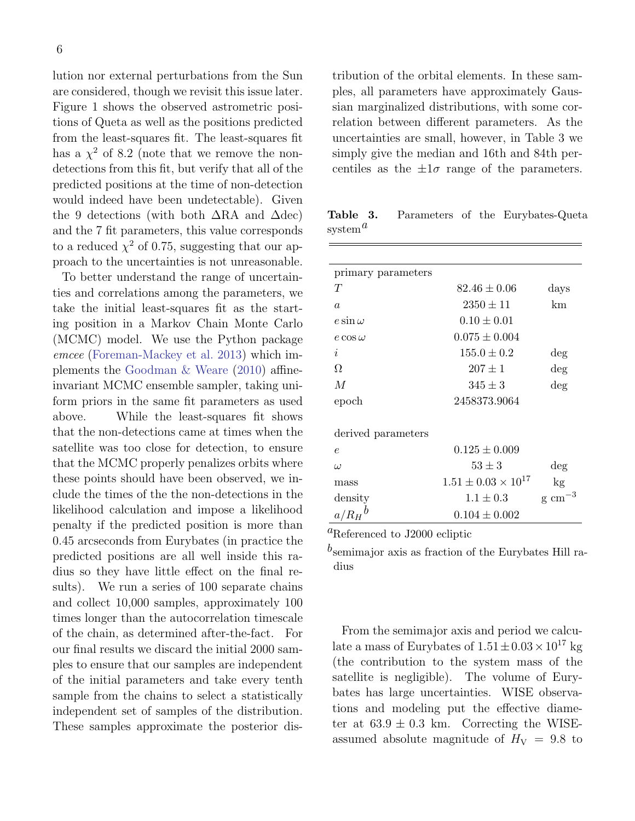lution nor external perturbations from the Sun are considered, though we revisit this issue later. Figure 1 shows the observed astrometric positions of Queta as well as the positions predicted from the least-squares fit. The least-squares fit has a  $\chi^2$  of 8.2 (note that we remove the nondetections from this fit, but verify that all of the predicted positions at the time of non-detection would indeed have been undetectable). Given the 9 detections (with both  $\Delta$ RA and  $\Delta$ dec) and the 7 fit parameters, this value corresponds to a reduced  $\chi^2$  of 0.75, suggesting that our approach to the uncertainties is not unreasonable.

To better understand the range of uncertainties and correlations among the parameters, we take the initial least-squares fit as the starting position in a Markov Chain Monte Carlo (MCMC) model. We use the Python package emcee [\(Foreman-Mackey et al.](#page-9-9) [2013\)](#page-9-9) which implements the [Goodman & Weare](#page-9-10) [\(2010\)](#page-9-10) affineinvariant MCMC ensemble sampler, taking uniform priors in the same fit parameters as used above. While the least-squares fit shows that the non-detections came at times when the satellite was too close for detection, to ensure that the MCMC properly penalizes orbits where these points should have been observed, we include the times of the the non-detections in the likelihood calculation and impose a likelihood penalty if the predicted position is more than 0.45 arcseconds from Eurybates (in practice the predicted positions are all well inside this radius so they have little effect on the final results). We run a series of 100 separate chains and collect 10,000 samples, approximately 100 times longer than the autocorrelation timescale of the chain, as determined after-the-fact. For our final results we discard the initial 2000 samples to ensure that our samples are independent of the initial parameters and take every tenth sample from the chains to select a statistically independent set of samples of the distribution. These samples approximate the posterior distribution of the orbital elements. In these samples, all parameters have approximately Gaussian marginalized distributions, with some correlation between different parameters. As the uncertainties are small, however, in Table 3 we simply give the median and 16th and 84th percentiles as the  $\pm 1\sigma$  range of the parameters.

Table 3. Parameters of the Eurybates-Queta system $^a$ 

| primary parameters |                                |                  |  |
|--------------------|--------------------------------|------------------|--|
| T                  | $82.46 \pm 0.06$               | days             |  |
| $\alpha$           | $2350 \pm 11$                  | km               |  |
| $e \sin \omega$    | $0.10 \pm 0.01$                |                  |  |
| $e \cos \omega$    | $0.075 \pm 0.004$              |                  |  |
| i                  | $155.0 \pm 0.2$                | deg              |  |
| Ω                  | $207 \pm 1$                    | $\deg$           |  |
| $\overline{M}$     | $345 \pm 3$                    | $\deg$           |  |
| epoch              | 2458373.9064                   |                  |  |
|                    |                                |                  |  |
| derived parameters |                                |                  |  |
| $\epsilon$         | $0.125 \pm 0.009$              |                  |  |
| $\omega$           | $53 \pm 3$                     | $\deg$           |  |
| mass               | $1.51 \pm 0.03 \times 10^{17}$ | kg               |  |
| density            | $1.1 \pm 0.3$                  | $\rm g\ cm^{-3}$ |  |
| $a/R_H{}^b$        | $0.104 \pm 0.002$              |                  |  |

<sup>a</sup>Referenced to J2000 ecliptic

 $b$  semimajor axis as fraction of the Eurybates Hill radius

From the semimajor axis and period we calculate a mass of Eurybates of  $1.51 \pm 0.03 \times 10^{17}$  kg (the contribution to the system mass of the satellite is negligible). The volume of Eurybates has large uncertainties. WISE observations and modeling put the effective diameter at  $63.9 \pm 0.3$  km. Correcting the WISEassumed absolute magnitude of  $H_V = 9.8$  to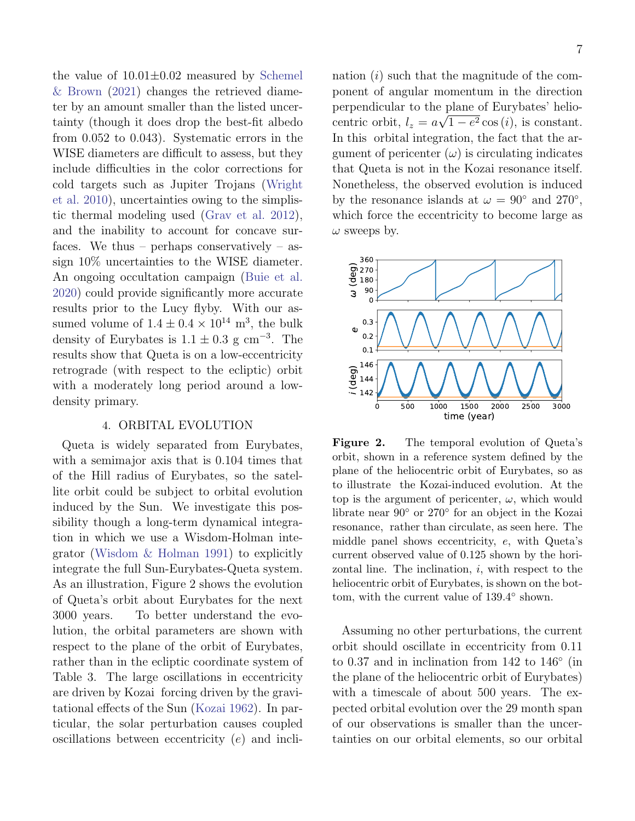the value of  $10.01 \pm 0.02$  measured by [Schemel](#page-10-6) [& Brown](#page-10-6) [\(2021\)](#page-10-6) changes the retrieved diameter by an amount smaller than the listed uncertainty (though it does drop the best-fit albedo from 0.052 to 0.043). Systematic errors in the WISE diameters are difficult to assess, but they include difficulties in the color corrections for cold targets such as Jupiter Trojans [\(Wright](#page-10-7) [et al.](#page-10-7) [2010\)](#page-10-7), uncertainties owing to the simplistic thermal modeling used [\(Grav et al.](#page-9-11) [2012\)](#page-9-11), and the inability to account for concave surfaces. We thus – perhaps conservatively – assign 10% uncertainties to the WISE diameter. An ongoing occultation campaign [\(Buie et al.](#page-9-12) [2020\)](#page-9-12) could provide significantly more accurate results prior to the Lucy flyby. With our assumed volume of  $1.4 \pm 0.4 \times 10^{14}$  m<sup>3</sup>, the bulk density of Eurybates is  $1.1 \pm 0.3$  g cm<sup>-3</sup>. The results show that Queta is on a low-eccentricity retrograde (with respect to the ecliptic) orbit with a moderately long period around a lowdensity primary.

## 4. ORBITAL EVOLUTION

Queta is widely separated from Eurybates, with a semimajor axis that is 0.104 times that of the Hill radius of Eurybates, so the satellite orbit could be subject to orbital evolution induced by the Sun. We investigate this possibility though a long-term dynamical integration in which we use a Wisdom-Holman integrator [\(Wisdom & Holman](#page-10-8) [1991\)](#page-10-8) to explicitly integrate the full Sun-Eurybates-Queta system. As an illustration, Figure 2 shows the evolution of Queta's orbit about Eurybates for the next 3000 years. To better understand the evolution, the orbital parameters are shown with respect to the plane of the orbit of Eurybates, rather than in the ecliptic coordinate system of Table 3. The large oscillations in eccentricity are driven by Kozai forcing driven by the gravitational effects of the Sun [\(Kozai](#page-9-13) [1962\)](#page-9-13). In particular, the solar perturbation causes coupled oscillations between eccentricity (e) and inclination  $(i)$  such that the magnitude of the component of angular momentum in the direction perpendicular to the plane of Eurybates' heliocentric orbit,  $l_z = a\sqrt{1 - e^2 \cos(i)}$ , is constant. In this orbital integration, the fact that the argument of pericenter  $(\omega)$  is circulating indicates that Queta is not in the Kozai resonance itself. Nonetheless, the observed evolution is induced by the resonance islands at  $\omega = 90^{\circ}$  and  $270^{\circ}$ , which force the eccentricity to become large as  $\omega$  sweeps by.



Figure 2. The temporal evolution of Queta's orbit, shown in a reference system defined by the plane of the heliocentric orbit of Eurybates, so as to illustrate the Kozai-induced evolution. At the top is the argument of pericenter,  $\omega$ , which would librate near 90◦ or 270◦ for an object in the Kozai resonance, rather than circulate, as seen here. The middle panel shows eccentricity, e, with Queta's current observed value of 0.125 shown by the horizontal line. The inclination,  $i$ , with respect to the heliocentric orbit of Eurybates, is shown on the bottom, with the current value of  $139.4^\circ$  shown.

Assuming no other perturbations, the current orbit should oscillate in eccentricity from 0.11 to 0.37 and in inclination from 142 to 146 $^{\circ}$  (in the plane of the heliocentric orbit of Eurybates) with a timescale of about 500 years. The expected orbital evolution over the 29 month span of our observations is smaller than the uncertainties on our orbital elements, so our orbital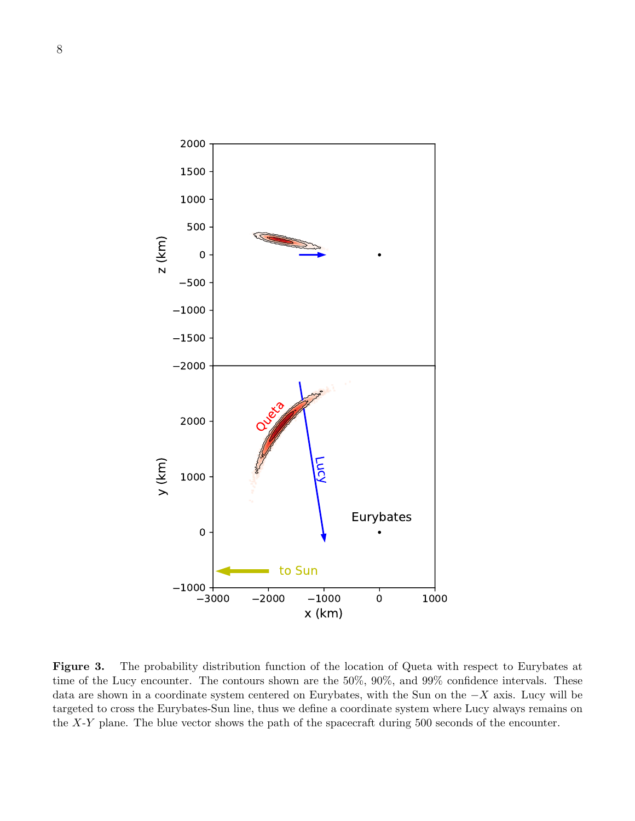

Figure 3. The probability distribution function of the location of Queta with respect to Eurybates at time of the Lucy encounter. The contours shown are the 50%, 90%, and 99% confidence intervals. These data are shown in a coordinate system centered on Eurybates, with the Sun on the −X axis. Lucy will be targeted to cross the Eurybates-Sun line, thus we define a coordinate system where Lucy always remains on the X-Y plane. The blue vector shows the path of the spacecraft during 500 seconds of the encounter.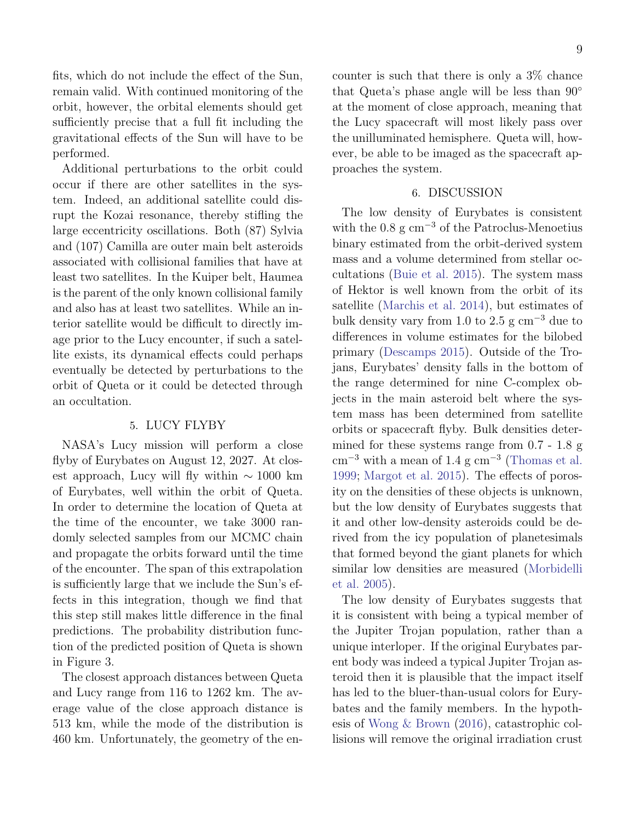fits, which do not include the effect of the Sun, remain valid. With continued monitoring of the orbit, however, the orbital elements should get sufficiently precise that a full fit including the gravitational effects of the Sun will have to be performed.

Additional perturbations to the orbit could occur if there are other satellites in the system. Indeed, an additional satellite could disrupt the Kozai resonance, thereby stifling the large eccentricity oscillations. Both (87) Sylvia and (107) Camilla are outer main belt asteroids associated with collisional families that have at least two satellites. In the Kuiper belt, Haumea is the parent of the only known collisional family and also has at least two satellites. While an interior satellite would be difficult to directly image prior to the Lucy encounter, if such a satellite exists, its dynamical effects could perhaps eventually be detected by perturbations to the orbit of Queta or it could be detected through an occultation.

## 5. LUCY FLYBY

NASA's Lucy mission will perform a close flyby of Eurybates on August 12, 2027. At closest approach, Lucy will fly within  $\sim 1000 \text{ km}$ of Eurybates, well within the orbit of Queta. In order to determine the location of Queta at the time of the encounter, we take 3000 randomly selected samples from our MCMC chain and propagate the orbits forward until the time of the encounter. The span of this extrapolation is sufficiently large that we include the Sun's effects in this integration, though we find that this step still makes little difference in the final predictions. The probability distribution function of the predicted position of Queta is shown in Figure 3.

The closest approach distances between Queta and Lucy range from 116 to 1262 km. The average value of the close approach distance is 513 km, while the mode of the distribution is 460 km. Unfortunately, the geometry of the encounter is such that there is only a 3% chance that Queta's phase angle will be less than 90◦ at the moment of close approach, meaning that

the Lucy spacecraft will most likely pass over the unilluminated hemisphere. Queta will, however, be able to be imaged as the spacecraft approaches the system.

#### 6. DISCUSSION

The low density of Eurybates is consistent with the  $0.8 \text{ g cm}^{-3}$  of the Patroclus-Menoetius binary estimated from the orbit-derived system mass and a volume determined from stellar occultations [\(Buie et al.](#page-9-14) [2015\)](#page-9-14). The system mass of Hektor is well known from the orbit of its satellite [\(Marchis et al.](#page-9-15) [2014\)](#page-9-15), but estimates of bulk density vary from 1.0 to 2.5 g  $cm^{-3}$  due to differences in volume estimates for the bilobed primary [\(Descamps](#page-9-16) [2015\)](#page-9-16). Outside of the Trojans, Eurybates' density falls in the bottom of the range determined for nine C-complex objects in the main asteroid belt where the system mass has been determined from satellite orbits or spacecraft flyby. Bulk densities determined for these systems range from 0.7 - 1.8 g  $\text{cm}^{-3}$  with a mean of 1.4 g  $\text{cm}^{-3}$  [\(Thomas et al.](#page-10-9) [1999;](#page-10-9) [Margot et al.](#page-9-17) [2015\)](#page-9-17). The effects of porosity on the densities of these objects is unknown, but the low density of Eurybates suggests that it and other low-density asteroids could be derived from the icy population of planetesimals that formed beyond the giant planets for which similar low densities are measured [\(Morbidelli](#page-10-10) [et al.](#page-10-10) [2005\)](#page-10-10).

The low density of Eurybates suggests that it is consistent with being a typical member of the Jupiter Trojan population, rather than a unique interloper. If the original Eurybates parent body was indeed a typical Jupiter Trojan asteroid then it is plausible that the impact itself has led to the bluer-than-usual colors for Eurybates and the family members. In the hypothesis of [Wong & Brown](#page-10-11) [\(2016\)](#page-10-11), catastrophic collisions will remove the original irradiation crust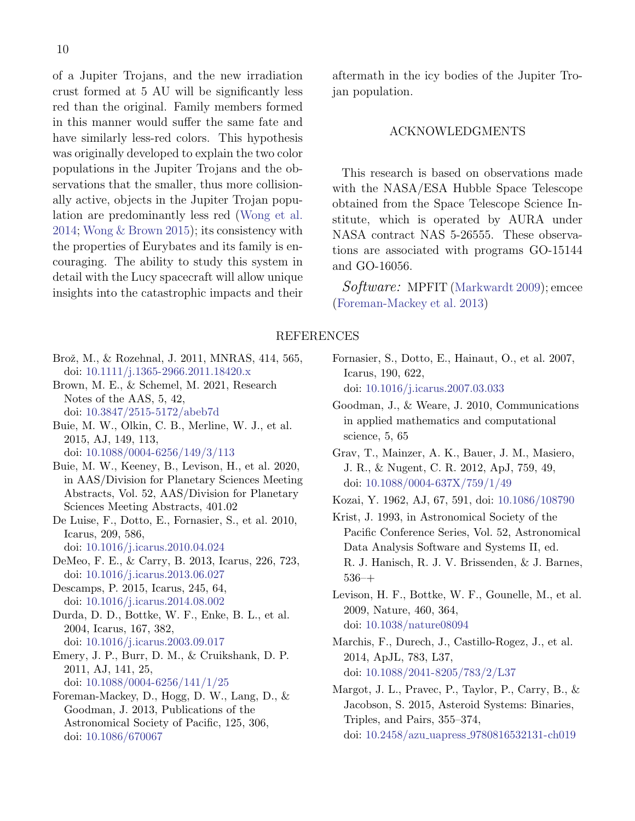of a Jupiter Trojans, and the new irradiation crust formed at 5 AU will be significantly less red than the original. Family members formed in this manner would suffer the same fate and have similarly less-red colors. This hypothesis was originally developed to explain the two color populations in the Jupiter Trojans and the observations that the smaller, thus more collisionally active, objects in the Jupiter Trojan population are predominantly less red [\(Wong et al.](#page-10-4) [2014;](#page-10-4) [Wong & Brown](#page-10-12) [2015\)](#page-10-12); its consistency with the properties of Eurybates and its family is encouraging. The ability to study this system in detail with the Lucy spacecraft will allow unique insights into the catastrophic impacts and their

- <span id="page-9-0"></span>Brož, M., & Rozehnal, J. 2011, MNRAS, 414, 565, doi: [10.1111/j.1365-2966.2011.18420.x](http://doi.org/10.1111/j.1365-2966.2011.18420.x)
- <span id="page-9-2"></span>Brown, M. E., & Schemel, M. 2021, Research Notes of the AAS, 5, 42, doi: [10.3847/2515-5172/abeb7d](http://doi.org/10.3847/2515-5172/abeb7d)
- <span id="page-9-14"></span>Buie, M. W., Olkin, C. B., Merline, W. J., et al. 2015, AJ, 149, 113, doi: [10.1088/0004-6256/149/3/113](http://doi.org/10.1088/0004-6256/149/3/113)
- <span id="page-9-12"></span>Buie, M. W., Keeney, B., Levison, H., et al. 2020, in AAS/Division for Planetary Sciences Meeting Abstracts, Vol. 52, AAS/Division for Planetary Sciences Meeting Abstracts, 401.02
- <span id="page-9-5"></span>De Luise, F., Dotto, E., Fornasier, S., et al. 2010, Icarus, 209, 586,
- doi: [10.1016/j.icarus.2010.04.024](http://doi.org/10.1016/j.icarus.2010.04.024)
- <span id="page-9-3"></span>DeMeo, F. E., & Carry, B. 2013, Icarus, 226, 723, doi: [10.1016/j.icarus.2013.06.027](http://doi.org/10.1016/j.icarus.2013.06.027)
- <span id="page-9-16"></span>Descamps, P. 2015, Icarus, 245, 64, doi: [10.1016/j.icarus.2014.08.002](http://doi.org/10.1016/j.icarus.2014.08.002)
- <span id="page-9-7"></span>Durda, D. D., Bottke, W. F., Enke, B. L., et al. 2004, Icarus, 167, 382, doi: [10.1016/j.icarus.2003.09.017](http://doi.org/10.1016/j.icarus.2003.09.017)
- <span id="page-9-4"></span>Emery, J. P., Burr, D. M., & Cruikshank, D. P. 2011, AJ, 141, 25, doi: [10.1088/0004-6256/141/1/25](http://doi.org/10.1088/0004-6256/141/1/25)
- <span id="page-9-9"></span>Foreman-Mackey, D., Hogg, D. W., Lang, D., & Goodman, J. 2013, Publications of the Astronomical Society of Pacific, 125, 306, doi: [10.1086/670067](http://doi.org/10.1086/670067)

aftermath in the icy bodies of the Jupiter Trojan population.

## ACKNOWLEDGMENTS

This research is based on observations made with the NASA/ESA Hubble Space Telescope obtained from the Space Telescope Science Institute, which is operated by AURA under NASA contract NAS 5-26555. These observations are associated with programs GO-15144 and GO-16056.

Software: MPFIT [\(Markwardt](#page-10-5) [2009\)](#page-10-5); emcee [\(Foreman-Mackey et al.](#page-9-9) [2013\)](#page-9-9)

#### REFERENCES

- <span id="page-9-1"></span>Fornasier, S., Dotto, E., Hainaut, O., et al. 2007, Icarus, 190, 622, doi: [10.1016/j.icarus.2007.03.033](http://doi.org/10.1016/j.icarus.2007.03.033)
- <span id="page-9-10"></span>Goodman, J., & Weare, J. 2010, Communications in applied mathematics and computational science, 5, 65
- <span id="page-9-11"></span>Grav, T., Mainzer, A. K., Bauer, J. M., Masiero, J. R., & Nugent, C. R. 2012, ApJ, 759, 49, doi: [10.1088/0004-637X/759/1/49](http://doi.org/10.1088/0004-637X/759/1/49)
- <span id="page-9-13"></span>Kozai, Y. 1962, AJ, 67, 591, doi: [10.1086/108790](http://doi.org/10.1086/108790)
- <span id="page-9-8"></span>Krist, J. 1993, in Astronomical Society of the Pacific Conference Series, Vol. 52, Astronomical Data Analysis Software and Systems II, ed. R. J. Hanisch, R. J. V. Brissenden, & J. Barnes, 536–+
- <span id="page-9-6"></span>Levison, H. F., Bottke, W. F., Gounelle, M., et al. 2009, Nature, 460, 364, doi: [10.1038/nature08094](http://doi.org/10.1038/nature08094)
- <span id="page-9-15"></span>Marchis, F., Durech, J., Castillo-Rogez, J., et al. 2014, ApJL, 783, L37, doi: [10.1088/2041-8205/783/2/L37](http://doi.org/10.1088/2041-8205/783/2/L37)
- <span id="page-9-17"></span>Margot, J. L., Pravec, P., Taylor, P., Carry, B., & Jacobson, S. 2015, Asteroid Systems: Binaries, Triples, and Pairs, 355–374, doi: 10.2458/azu uapress [9780816532131-ch019](http://doi.org/10.2458/azu_uapress_9780816532131-ch019)